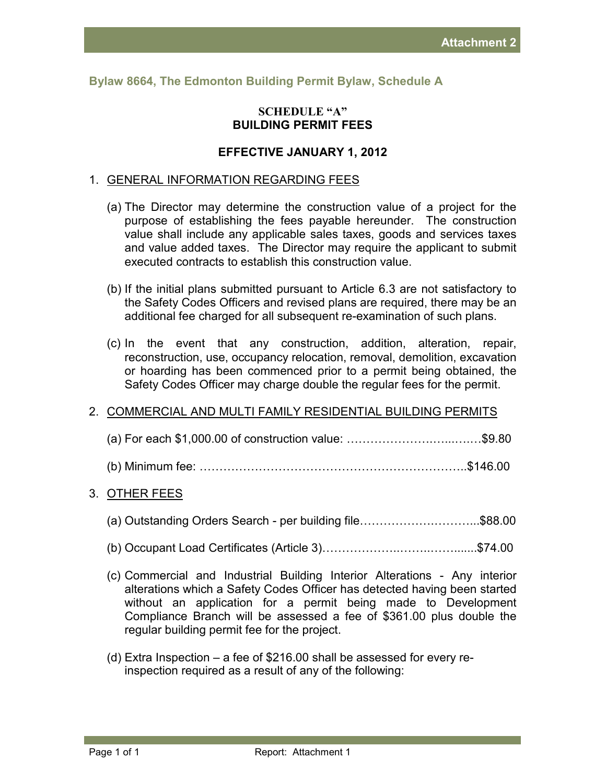**Bylaw 8664, The Edmonton Building Permit Bylaw, Schedule A** 

### **SCHEDULE "A" BUILDING PERMIT FEES**

# **EFFECTIVE JANUARY 1, 2012**

#### 1. GENERAL INFORMATION REGARDING FEES

- (a) The Director may determine the construction value of a project for the purpose of establishing the fees payable hereunder. The construction value shall include any applicable sales taxes, goods and services taxes and value added taxes. The Director may require the applicant to submit executed contracts to establish this construction value.
- (b) If the initial plans submitted pursuant to Article 6.3 are not satisfactory to the Safety Codes Officers and revised plans are required, there may be an additional fee charged for all subsequent re-examination of such plans.
- (c) In the event that any construction, addition, alteration, repair, reconstruction, use, occupancy relocation, removal, demolition, excavation or hoarding has been commenced prior to a permit being obtained, the Safety Codes Officer may charge double the regular fees for the permit.

### 2. COMMERCIAL AND MULTI FAMILY RESIDENTIAL BUILDING PERMITS

# 3. OTHER FEES

- (a) Outstanding Orders Search per building file……………….………...\$88.00
- (b) Occupant Load Certificates (Article 3)………………..……..…….......\$74.00
- (c) Commercial and Industrial Building Interior Alterations Any interior alterations which a Safety Codes Officer has detected having been started without an application for a permit being made to Development Compliance Branch will be assessed a fee of \$361.00 plus double the regular building permit fee for the project.
- (d) Extra Inspection a fee of \$216.00 shall be assessed for every reinspection required as a result of any of the following: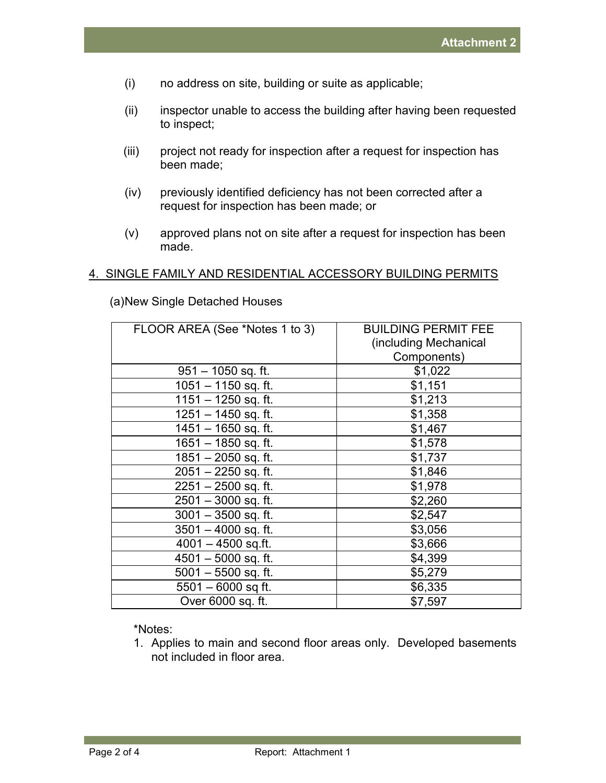- (i) no address on site, building or suite as applicable;
- (ii) inspector unable to access the building after having been requested to inspect;
- (iii) project not ready for inspection after a request for inspection has been made;
- (iv) previously identified deficiency has not been corrected after a request for inspection has been made; or
- (v) approved plans not on site after a request for inspection has been made.

# 4. SINGLE FAMILY AND RESIDENTIAL ACCESSORY BUILDING PERMITS

| FLOOR AREA (See *Notes 1 to 3) | <b>BUILDING PERMIT FEE</b> |
|--------------------------------|----------------------------|
|                                | (including Mechanical      |
|                                | Components)                |
| $951 - 1050$ sq. ft.           | \$1,022                    |
| $1051 - 1150$ sq. ft.          | \$1,151                    |
| 1151 - 1250 sq. ft.            | \$1,213                    |
| 1251 - 1450 sq. ft.            | \$1,358                    |
| 1451 - 1650 sq. ft.            | \$1,467                    |
| $1651 - 1850$ sq. ft.          | \$1,578                    |
| $1851 - 2050$ sq. ft.          | \$1,737                    |
| $2051 - 2250$ sq. ft.          | \$1,846                    |
| $2251 - 2500$ sq. ft.          | \$1,978                    |
| $2501 - 3000$ sq. ft.          | \$2,260                    |
| $3001 - 3500$ sq. ft.          | \$2,547                    |
| $3501 - 4000$ sq. ft.          | \$3,056                    |
| $4001 - 4500$ sq.ft.           | \$3,666                    |
| $4501 - 5000$ sq. ft.          | \$4,399                    |
| $5001 - 5500$ sq. ft.          | \$5,279                    |
| $5501 - 6000$ sq ft.           | \$6,335                    |
| Over 6000 sq. ft.              | \$7,597                    |
|                                |                            |

(a) New Single Detached Houses

\*Notes:

1. Applies to main and second floor areas only. Developed basements not included in floor area.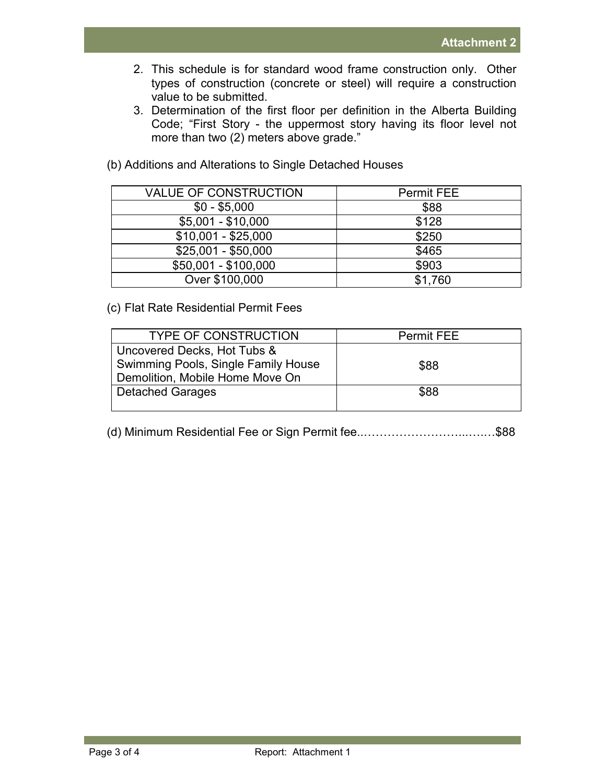- 2. This schedule is for standard wood frame construction only. Other types of construction (concrete or steel) will require a construction value to be submitted.
- 3. Determination of the first floor per definition in the Alberta Building Code; "First Story - the uppermost story having its floor level not more than two (2) meters above grade."

| <b>VALUE OF CONSTRUCTION</b> | <b>Permit FEE</b> |
|------------------------------|-------------------|
| $$0 - $5,000$                | \$88              |
| $$5,001 - $10,000$           | \$128             |
| $$10,001 - $25,000$          | \$250             |
| $$25,001 - $50,000$          | \$465             |
| \$50,001 - \$100,000         | \$903             |
| Over \$100,000               | \$1,760           |

(b) Additions and Alterations to Single Detached Houses

### (c) Flat Rate Residential Permit Fees

| <b>TYPE OF CONSTRUCTION</b>         | <b>Permit FEE</b> |
|-------------------------------------|-------------------|
| Uncovered Decks, Hot Tubs &         |                   |
| Swimming Pools, Single Family House | \$88              |
| Demolition, Mobile Home Move On     |                   |
| <b>Detached Garages</b>             | \$88              |
|                                     |                   |

(d) Minimum Residential Fee or Sign Permit fee..……………………...….…\$88